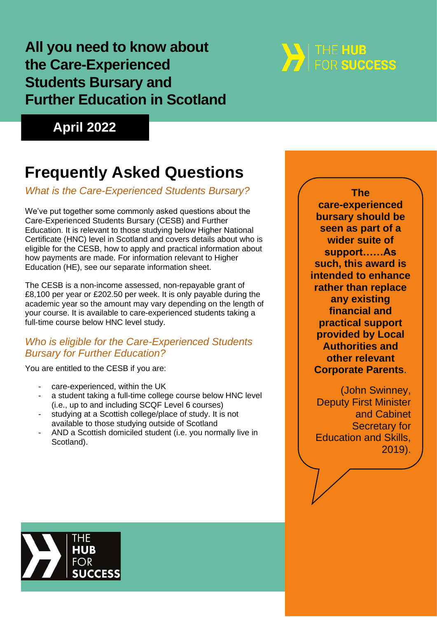### **All you need to know about the Care-Experienced Students Bursary and Further Education in Scotland**

# **THE HUB**<br>For success

**April 2022**

## **Frequently Asked Questions**

#### *What is the Care-Experienced Students Bursary?*

We've put together some commonly asked questions about the Care-Experienced Students Bursary (CESB) and Further Education. It is relevant to those studying below Higher National Certificate (HNC) level in Scotland and covers details about who is eligible for the CESB, how to apply and practical information about how payments are made. For information relevant to Higher Education (HE), see our separate information sheet.

The CESB is a non-income assessed, non-repayable grant of £8,100 per year or £202.50 per week. It is only payable during the academic year so the amount may vary depending on the length of your course. It is available to care-experienced students taking a full-time course below HNC level study.

#### *Who is eligible for the Care-Experienced Students Bursary for Further Education?*

You are entitled to the CESB if you are:

- care-experienced, within the UK
- a student taking a full-time college course below HNC level (i.e., up to and including SCQF Level 6 courses)
- studying at a Scottish college/place of study. It is not available to those studying outside of Scotland
- AND a Scottish domiciled student (i.e. you normally live in Scotland).

**The care-experienced bursary should be seen as part of a wider suite of support……As such, this award is intended to enhance rather than replace any existing financial and practical support provided by Local Authorities and other relevant Corporate Parents**.

(John Swinney, Deputy First Minister and Cabinet Secretary for Education and Skills, 2019).

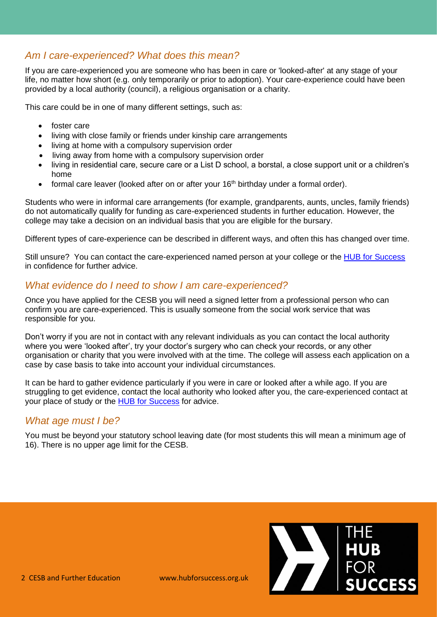#### *Am I care-experienced? What does this mean?*

If you are care-experienced you are someone who has been in care or 'looked-after' at any stage of your life, no matter how short (e.g. only temporarily or prior to adoption). Your care-experience could have been provided by a local authority (council), a religious organisation or a charity.

This care could be in one of many different settings, such as:

- foster care
- living with close family or friends under kinship care arrangements
- living at home with a compulsory supervision order
- living away from home with a compulsory supervision order
- living in residential care, secure care or a List D school, a borstal, a close support unit or a children's home
- formal care leaver (looked after on or after your 16<sup>th</sup> birthday under a formal order).

Students who were in informal care arrangements (for example, grandparents, aunts, uncles, family friends) do not automatically qualify for funding as care-experienced students in further education. However, the college may take a decision on an individual basis that you are eligible for the bursary.

Different types of care-experience can be described in different ways, and often this has changed over time.

Still unsure? You can contact the care-experienced named person at your college or the [HUB for Success](https://hubforsuccess.org/who-are-the-hub/) in confidence for further advice.

#### *What evidence do I need to show I am care-experienced?*

Once you have applied for the CESB you will need a signed letter from a professional person who can confirm you are care-experienced. This is usually someone from the social work service that was responsible for you.

Don't worry if you are not in contact with any relevant individuals as you can contact the local authority where you were 'looked after', try your doctor's surgery who can check your records, or any other organisation or charity that you were involved with at the time. The college will assess each application on a case by case basis to take into account your individual circumstances.

It can be hard to gather evidence particularly if you were in care or looked after a while ago. If you are struggling to get evidence, contact the local authority who looked after you, the care-experienced contact at your place of study or the **HUB [for Success](https://hubforsuccess.org/who-are-the-hub/)** for advice.

#### *What age must I be?*

You must be beyond your statutory school leaving date (for most students this will mean a minimum age of 16). There is no upper age limit for the CESB.

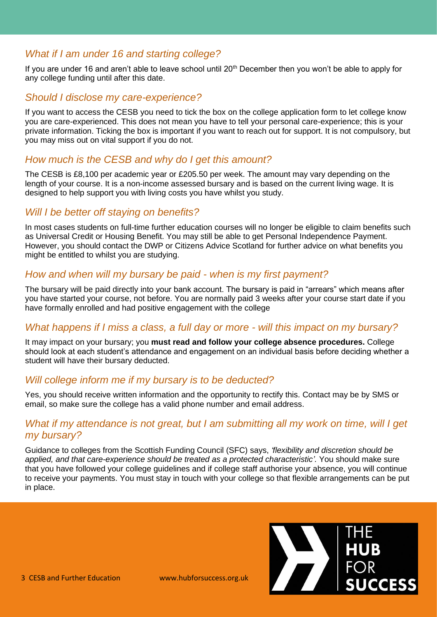#### *What if I am under 16 and starting college?*

If you are under 16 and aren't able to leave school until 20<sup>th</sup> December then you won't be able to apply for any college funding until after this date.

#### *Should I disclose my care-experience?*

If you want to access the CESB you need to tick the box on the college application form to let college know you are care-experienced. This does not mean you have to tell your personal care-experience; this is your private information. Ticking the box is important if you want to reach out for support. It is not compulsory, but you may miss out on vital support if you do not.

#### *How much is the CESB and why do I get this amount?*

The CESB is £8,100 per academic year or £205.50 per week. The amount may vary depending on the length of your course. It is a non-income assessed bursary and is based on the current living wage. It is designed to help support you with living costs you have whilst you study.

#### *Will I be better off staying on benefits?*

In most cases students on full-time further education courses will no longer be eligible to claim benefits such as Universal Credit or Housing Benefit. You may still be able to get Personal Independence Payment. However, you should contact the DWP or Citizens Advice Scotland for further advice on what benefits you might be entitled to whilst you are studying.

#### *How and when will my bursary be paid - when is my first payment?*

The bursary will be paid directly into your bank account. The bursary is paid in "arrears" which means after you have started your course, not before. You are normally paid 3 weeks after your course start date if you have formally enrolled and had positive engagement with the college

#### *What happens if I miss a class, a full day or more - will this impact on my bursary?*

It may impact on your bursary; you **must read and follow your college absence procedures.** College should look at each student's attendance and engagement on an individual basis before deciding whether a student will have their bursary deducted.

#### *Will college inform me if my bursary is to be deducted?*

Yes, you should receive written information and the opportunity to rectify this. Contact may be by SMS or email, so make sure the college has a valid phone number and email address.

#### *What if my attendance is not great, but I am submitting all my work on time, will I get my bursary?*

Guidance to colleges from the Scottish Funding Council (SFC) says, *'flexibility and discretion should be applied, and that care-experience should be treated as a protected characteristic'.* You should make sure that you have followed your college guidelines and if college staff authorise your absence, you will continue to receive your payments. You must stay in touch with your college so that flexible arrangements can be put in place.